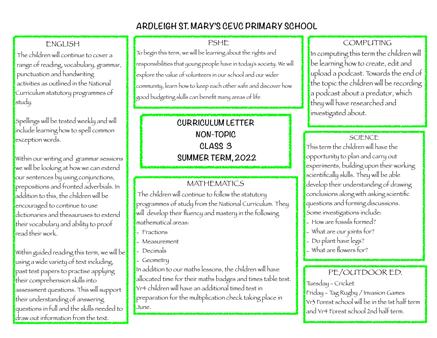# **ARDLEIGH ST. MARY'S CEVC PRIMARY SCHOOL**

## ENGLISH

The children will continue to cover a range of reading, vocabulary, grammar, punctuation and handwriting activities as outlined in the National Curriculum statutory programmes of study.

Spellings will be tested weekly and will include learning how to spell common exception words.

Within our writing and grammar sessions we will be looking at how we can extend our sentences by using conjunctions, prepositions and fronted adverbials. In addition to this, the children will be encouraged to continue to use dictionaries and thesauruses to extend their vocabulary and ability to proof read their work.

Within guided reading this term, we will be  $\mathbf t$ using a wide variety of text including, past test papers to practise applying their comprehension skills into assessment questions. This will support their understanding of answering questions in full and the skills needed to draw out information from the text.

#### PSHE

To begin this term, we will be learning about the rights and responsibilities that young people have in today's society. We will explore the value of volunteers in our school and our wider community, learn how to keep each other safe and discover how good budgeting skills can benefit many areas of life

# **CURRICULUM LETTER NON-TOPIC CLASS 3 SUMMER TERM, 2022**

#### MATHEMATICS

 The children will continue to follow the statutory programmes of study from the National Curriculum. They will develop their fluency and mastery in the following mathematical areas:

- Fractions
- Measurement
- Decimals
- Geometry

In addition to our maths lessons, the children will have allocated time for their maths badges and times table test. Yr4 children will have an additional timed test in preparation for the multiplication check taking place in June.

COMPUTING In computing this term the children will be learning how to create, edit and upload a podcast. Towards the end of the topic the children will be recording a podcast about a predator, which they will have researched and investigated about.

### **SCIENCE**

This term the children will have the opportunity to plan and carry out experiments, building upon their working scientifically skills. They will be able develop their understanding of drawing conclusions along with asking scientific questions and forming discussions. Some investigations include:

- How are fossils formed?
- What are our joints for?
- Do plant have legs?
- What are flowers for?

## PE/OUTDOOR ED.

Tuesday - Cricket

Friday - Tag Rugby / Invasion Games Yr3 Forest school will be in the 1st half term and Yr4 Forest school 2nd half term.